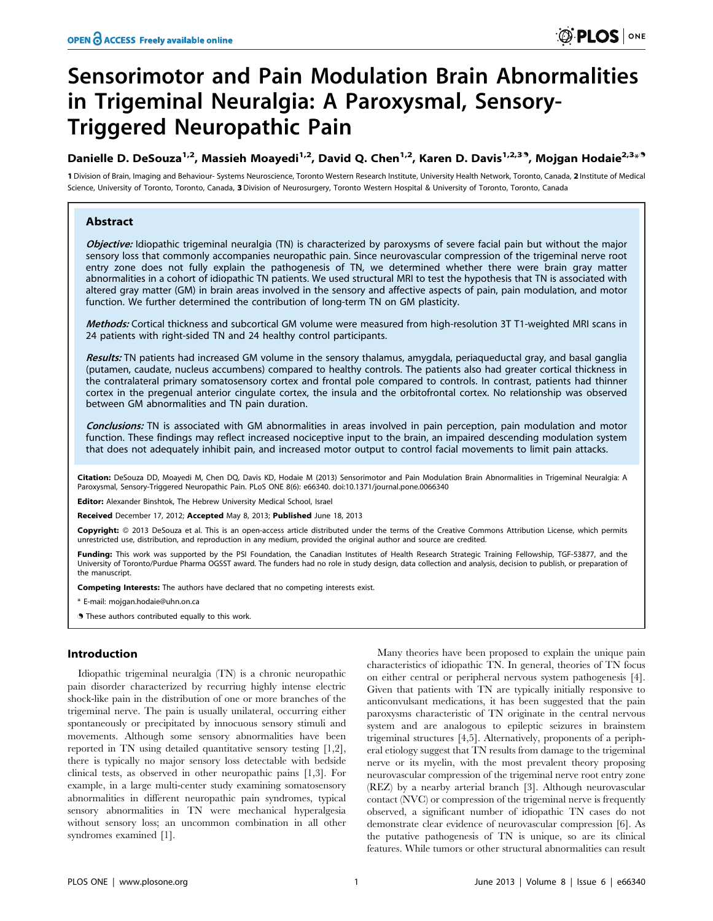# Sensorimotor and Pain Modulation Brain Abnormalities in Trigeminal Neuralgia: A Paroxysmal, Sensory-Triggered Neuropathic Pain

## Danielle D. DeSouza<sup>1,2</sup>, Massieh Moayedi<sup>1,2</sup>, David Q. Chen<sup>1,2</sup>, Karen D. Davis<sup>1,2,39</sup>, Mojgan Hodaie<sup>2,3</sup>\*<sup>9</sup>

1 Division of Brain, Imaging and Behaviour- Systems Neuroscience, Toronto Western Research Institute, University Health Network, Toronto, Canada, 2 Institute of Medical Science, University of Toronto, Toronto, Canada, 3 Division of Neurosurgery, Toronto Western Hospital & University of Toronto, Toronto, Canada

## Abstract

Objective: Idiopathic trigeminal neuralgia (TN) is characterized by paroxysms of severe facial pain but without the major sensory loss that commonly accompanies neuropathic pain. Since neurovascular compression of the trigeminal nerve root entry zone does not fully explain the pathogenesis of TN, we determined whether there were brain gray matter abnormalities in a cohort of idiopathic TN patients. We used structural MRI to test the hypothesis that TN is associated with altered gray matter (GM) in brain areas involved in the sensory and affective aspects of pain, pain modulation, and motor function. We further determined the contribution of long-term TN on GM plasticity.

Methods: Cortical thickness and subcortical GM volume were measured from high-resolution 3T T1-weighted MRI scans in 24 patients with right-sided TN and 24 healthy control participants.

Results: TN patients had increased GM volume in the sensory thalamus, amygdala, periaqueductal gray, and basal ganglia (putamen, caudate, nucleus accumbens) compared to healthy controls. The patients also had greater cortical thickness in the contralateral primary somatosensory cortex and frontal pole compared to controls. In contrast, patients had thinner cortex in the pregenual anterior cingulate cortex, the insula and the orbitofrontal cortex. No relationship was observed between GM abnormalities and TN pain duration.

Conclusions: TN is associated with GM abnormalities in areas involved in pain perception, pain modulation and motor function. These findings may reflect increased nociceptive input to the brain, an impaired descending modulation system that does not adequately inhibit pain, and increased motor output to control facial movements to limit pain attacks.

Citation: DeSouza DD, Moayedi M, Chen DQ, Davis KD, Hodaie M (2013) Sensorimotor and Pain Modulation Brain Abnormalities in Trigeminal Neuralgia: A Paroxysmal, Sensory-Triggered Neuropathic Pain. PLoS ONE 8(6): e66340. doi:10.1371/journal.pone.0066340

Editor: Alexander Binshtok, The Hebrew University Medical School, Israel

Received December 17, 2012; Accepted May 8, 2013; Published June 18, 2013

Copyright: @ 2013 DeSouza et al. This is an open-access article distributed under the terms of the Creative Commons Attribution License, which permits unrestricted use, distribution, and reproduction in any medium, provided the original author and source are credited.

Funding: This work was supported by the PSI Foundation, the Canadian Institutes of Health Research Strategic Training Fellowship, TGF-53877, and the University of Toronto/Purdue Pharma OGSST award. The funders had no role in study design, data collection and analysis, decision to publish, or preparation of the manuscript.

Competing Interests: The authors have declared that no competing interests exist.

\* E-mail: mojgan.hodaie@uhn.on.ca

**.** These authors contributed equally to this work.

## Introduction

Idiopathic trigeminal neuralgia (TN) is a chronic neuropathic pain disorder characterized by recurring highly intense electric shock-like pain in the distribution of one or more branches of the trigeminal nerve. The pain is usually unilateral, occurring either spontaneously or precipitated by innocuous sensory stimuli and movements. Although some sensory abnormalities have been reported in TN using detailed quantitative sensory testing [1,2], there is typically no major sensory loss detectable with bedside clinical tests, as observed in other neuropathic pains [1,3]. For example, in a large multi-center study examining somatosensory abnormalities in different neuropathic pain syndromes, typical sensory abnormalities in TN were mechanical hyperalgesia without sensory loss; an uncommon combination in all other syndromes examined [1].

Many theories have been proposed to explain the unique pain characteristics of idiopathic TN. In general, theories of TN focus on either central or peripheral nervous system pathogenesis [4]. Given that patients with TN are typically initially responsive to anticonvulsant medications, it has been suggested that the pain paroxysms characteristic of TN originate in the central nervous system and are analogous to epileptic seizures in brainstem trigeminal structures [4,5]. Alternatively, proponents of a peripheral etiology suggest that TN results from damage to the trigeminal nerve or its myelin, with the most prevalent theory proposing neurovascular compression of the trigeminal nerve root entry zone (REZ) by a nearby arterial branch [3]. Although neurovascular contact (NVC) or compression of the trigeminal nerve is frequently observed, a significant number of idiopathic TN cases do not demonstrate clear evidence of neurovascular compression [6]. As the putative pathogenesis of TN is unique, so are its clinical features. While tumors or other structural abnormalities can result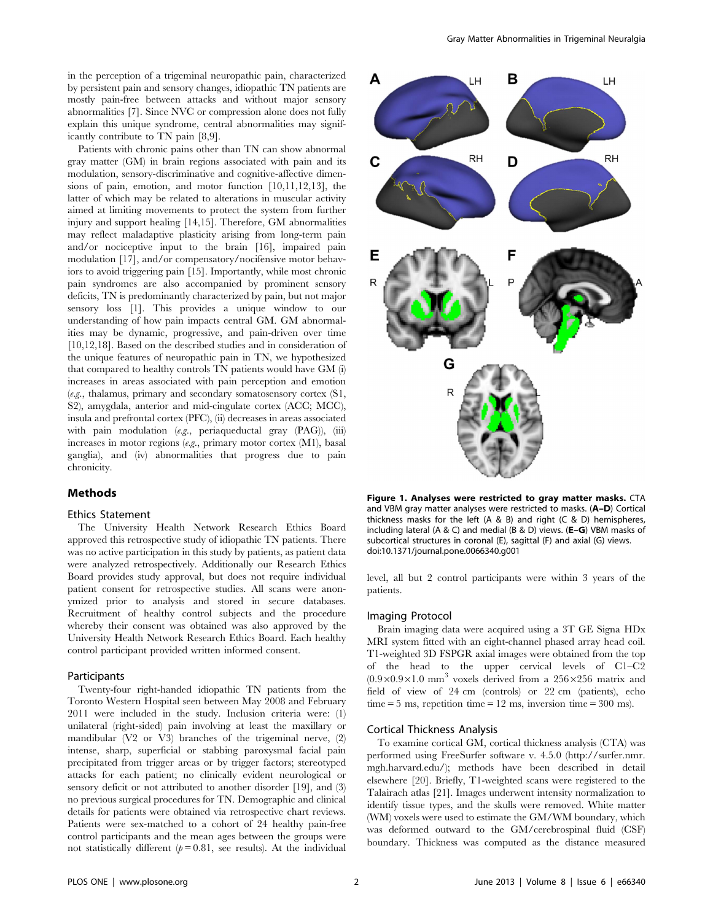in the perception of a trigeminal neuropathic pain, characterized by persistent pain and sensory changes, idiopathic TN patients are mostly pain-free between attacks and without major sensory abnormalities [7]. Since NVC or compression alone does not fully explain this unique syndrome, central abnormalities may significantly contribute to TN pain [8,9].

Patients with chronic pains other than TN can show abnormal gray matter (GM) in brain regions associated with pain and its modulation, sensory-discriminative and cognitive-affective dimensions of pain, emotion, and motor function [10,11,12,13], the latter of which may be related to alterations in muscular activity aimed at limiting movements to protect the system from further injury and support healing [14,15]. Therefore, GM abnormalities may reflect maladaptive plasticity arising from long-term pain and/or nociceptive input to the brain [16], impaired pain modulation [17], and/or compensatory/nocifensive motor behaviors to avoid triggering pain [15]. Importantly, while most chronic pain syndromes are also accompanied by prominent sensory deficits, TN is predominantly characterized by pain, but not major sensory loss [1]. This provides a unique window to our understanding of how pain impacts central GM. GM abnormalities may be dynamic, progressive, and pain-driven over time [10,12,18]. Based on the described studies and in consideration of the unique features of neuropathic pain in TN, we hypothesized that compared to healthy controls TN patients would have GM (i) increases in areas associated with pain perception and emotion (e.g., thalamus, primary and secondary somatosensory cortex (S1, S2), amygdala, anterior and mid-cingulate cortex (ACC; MCC), insula and prefrontal cortex (PFC), (ii) decreases in areas associated with pain modulation (e.g., periaqueductal gray (PAG)), (iii) increases in motor regions (e.g., primary motor cortex (M1), basal ganglia), and (iv) abnormalities that progress due to pain chronicity.

#### Methods

#### Ethics Statement

The University Health Network Research Ethics Board approved this retrospective study of idiopathic TN patients. There was no active participation in this study by patients, as patient data were analyzed retrospectively. Additionally our Research Ethics Board provides study approval, but does not require individual patient consent for retrospective studies. All scans were anonymized prior to analysis and stored in secure databases. Recruitment of healthy control subjects and the procedure whereby their consent was obtained was also approved by the University Health Network Research Ethics Board. Each healthy control participant provided written informed consent.

## **Participants**

Twenty-four right-handed idiopathic TN patients from the Toronto Western Hospital seen between May 2008 and February 2011 were included in the study. Inclusion criteria were: (1) unilateral (right-sided) pain involving at least the maxillary or mandibular (V2 or V3) branches of the trigeminal nerve, (2) intense, sharp, superficial or stabbing paroxysmal facial pain precipitated from trigger areas or by trigger factors; stereotyped attacks for each patient; no clinically evident neurological or sensory deficit or not attributed to another disorder [19], and (3) no previous surgical procedures for TN. Demographic and clinical details for patients were obtained via retrospective chart reviews. Patients were sex-matched to a cohort of 24 healthy pain-free control participants and the mean ages between the groups were not statistically different  $(p = 0.81)$ , see results). At the individual



Figure 1. Analyses were restricted to gray matter masks. CTA and VBM gray matter analyses were restricted to masks. (A–D) Cortical thickness masks for the left (A & B) and right (C & D) hemispheres, including lateral (A & C) and medial (B & D) views. (E–G) VBM masks of subcortical structures in coronal (E), sagittal (F) and axial (G) views. doi:10.1371/journal.pone.0066340.g001

level, all but 2 control participants were within 3 years of the patients.

#### Imaging Protocol

Brain imaging data were acquired using a 3T GE Signa HDx MRI system fitted with an eight-channel phased array head coil. T1-weighted 3D FSPGR axial images were obtained from the top of the head to the upper cervical levels of C1–C2  $(0.9\times0.9\times1.0$  mm<sup>3</sup> voxels derived from a 256×256 matrix and field of view of 24 cm (controls) or 22 cm (patients), echo time  $= 5$  ms, repetition time  $= 12$  ms, inversion time  $= 300$  ms).

#### Cortical Thickness Analysis

To examine cortical GM, cortical thickness analysis (CTA) was performed using FreeSurfer software v. 4.5.0 (http://surfer.nmr. mgh.harvard.edu/); methods have been described in detail elsewhere [20]. Briefly, T1-weighted scans were registered to the Talairach atlas [21]. Images underwent intensity normalization to identify tissue types, and the skulls were removed. White matter (WM) voxels were used to estimate the GM/WM boundary, which was deformed outward to the GM/cerebrospinal fluid (CSF) boundary. Thickness was computed as the distance measured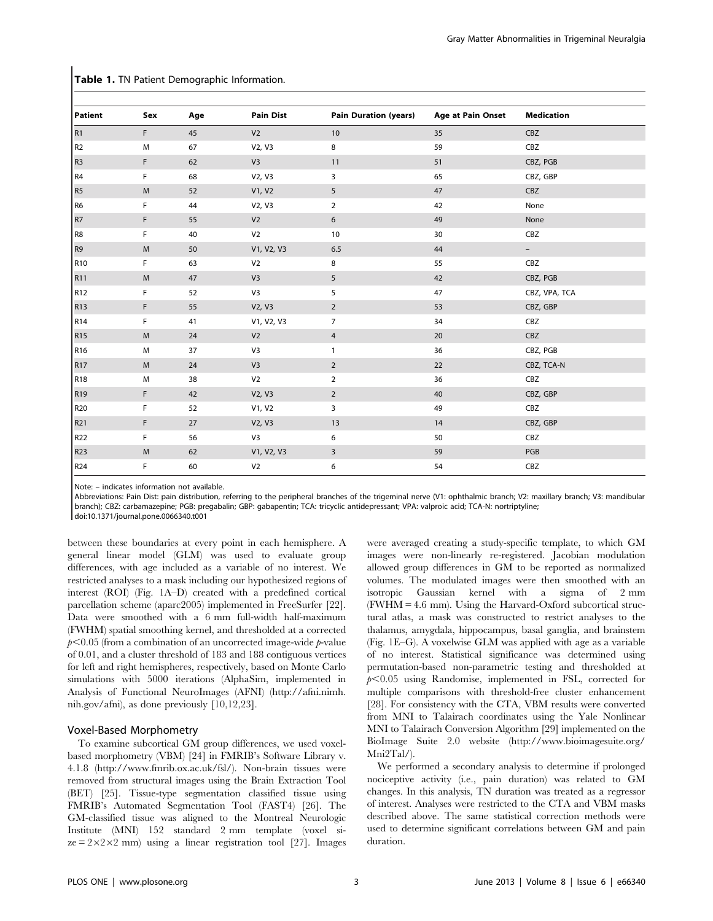| <b>Patient</b>  | Sex       | Age | <b>Pain Dist</b> | <b>Pain Duration (years)</b> | <b>Age at Pain Onset</b> | <b>Medication</b>        |
|-----------------|-----------|-----|------------------|------------------------------|--------------------------|--------------------------|
| R <sub>1</sub>  | F         | 45  | V <sub>2</sub>   | 10                           | 35                       | CBZ                      |
| R <sub>2</sub>  | M         | 67  | V2, V3           | 8                            | 59                       | CBZ                      |
| R <sub>3</sub>  | F         | 62  | V <sub>3</sub>   | 11                           | 51                       | CBZ, PGB                 |
| R4              | F         | 68  | V2, V3           | 3                            | 65                       | CBZ, GBP                 |
| R <sub>5</sub>  | ${\sf M}$ | 52  | V1, V2           | 5                            | 47                       | CBZ                      |
| R <sub>6</sub>  | F         | 44  | V2, V3           | $\overline{2}$               | 42                       | None                     |
| R7              | F         | 55  | V <sub>2</sub>   | 6                            | 49                       | None                     |
| R8              | F         | 40  | V <sub>2</sub>   | 10                           | 30                       | CBZ                      |
| R <sub>9</sub>  | M         | 50  | V1, V2, V3       | 6.5                          | 44                       | $\overline{\phantom{0}}$ |
| R <sub>10</sub> | F         | 63  | V <sub>2</sub>   | 8                            | 55                       | CBZ                      |
| R <sub>11</sub> | M         | 47  | V <sub>3</sub>   | 5                            | 42                       | CBZ, PGB                 |
| R <sub>12</sub> | F         | 52  | V <sub>3</sub>   | 5                            | 47                       | CBZ, VPA, TCA            |
| R <sub>13</sub> | F         | 55  | V2, V3           | $\overline{2}$               | 53                       | CBZ, GBP                 |
| R <sub>14</sub> | F         | 41  | V1, V2, V3       | $\overline{7}$               | 34                       | CBZ                      |
| R <sub>15</sub> | M         | 24  | V <sub>2</sub>   | 4                            | 20                       | CBZ                      |
| R <sub>16</sub> | M         | 37  | V <sub>3</sub>   | $\mathbf{1}$                 | 36                       | CBZ, PGB                 |
| R <sub>17</sub> | M         | 24  | V <sub>3</sub>   | $\overline{2}$               | 22                       | CBZ, TCA-N               |
| R <sub>18</sub> | M         | 38  | V <sub>2</sub>   | $\overline{2}$               | 36                       | CBZ                      |
| R <sub>19</sub> | F         | 42  | V2, V3           | $\overline{2}$               | 40                       | CBZ, GBP                 |
| R20             | F         | 52  | V1, V2           | 3                            | 49                       | CBZ                      |
| R21             | F         | 27  | V2, V3           | 13                           | 14                       | CBZ, GBP                 |
| R22             | F         | 56  | V <sub>3</sub>   | 6                            | 50                       | CBZ                      |
| R23             | M         | 62  | V1, V2, V3       | 3                            | 59                       | PGB                      |
| R24             | F         | 60  | V <sub>2</sub>   | 6                            | 54                       | CBZ                      |

Table 1. TN Patient Demographic Information.

Note: – indicates information not available.

Abbreviations: Pain Dist: pain distribution, referring to the peripheral branches of the trigeminal nerve (V1: ophthalmic branch; V2: maxillary branch; V3: mandibular branch); CBZ: carbamazepine; PGB: pregabalin; GBP: gabapentin; TCA: tricyclic antidepressant; VPA: valproic acid; TCA-N: nortriptyline;

doi:10.1371/journal.pone.0066340.t001

between these boundaries at every point in each hemisphere. A general linear model (GLM) was used to evaluate group differences, with age included as a variable of no interest. We restricted analyses to a mask including our hypothesized regions of interest (ROI) (Fig. 1A–D) created with a predefined cortical parcellation scheme (aparc2005) implemented in FreeSurfer [22]. Data were smoothed with a 6 mm full-width half-maximum (FWHM) spatial smoothing kernel, and thresholded at a corrected  $p<0.05$  (from a combination of an uncorrected image-wide p-value of 0.01, and a cluster threshold of 183 and 188 contiguous vertices for left and right hemispheres, respectively, based on Monte Carlo simulations with 5000 iterations (AlphaSim, implemented in Analysis of Functional NeuroImages (AFNI) (http://afni.nimh. nih.gov/afni), as done previously [10,12,23].

## Voxel-Based Morphometry

To examine subcortical GM group differences, we used voxelbased morphometry (VBM) [24] in FMRIB's Software Library v. 4.1.8 (http://www.fmrib.ox.ac.uk/fsl/). Non-brain tissues were removed from structural images using the Brain Extraction Tool (BET) [25]. Tissue-type segmentation classified tissue using FMRIB's Automated Segmentation Tool (FAST4) [26]. The GM-classified tissue was aligned to the Montreal Neurologic Institute (MNI) 152 standard 2 mm template (voxel si $ze = 2 \times 2 \times 2$  mm) using a linear registration tool [27]. Images were averaged creating a study-specific template, to which GM images were non-linearly re-registered. Jacobian modulation allowed group differences in GM to be reported as normalized volumes. The modulated images were then smoothed with an isotropic Gaussian kernel with a sigma of 2 mm (FWHM = 4.6 mm). Using the Harvard-Oxford subcortical structural atlas, a mask was constructed to restrict analyses to the thalamus, amygdala, hippocampus, basal ganglia, and brainstem (Fig. 1E–G). A voxelwise GLM was applied with age as a variable of no interest. Statistical significance was determined using permutation-based non-parametric testing and thresholded at  $p<0.05$  using Randomise, implemented in FSL, corrected for multiple comparisons with threshold-free cluster enhancement [28]. For consistency with the CTA, VBM results were converted from MNI to Talairach coordinates using the Yale Nonlinear MNI to Talairach Conversion Algorithm [29] implemented on the BioImage Suite 2.0 website (http://www.bioimagesuite.org/ Mni2Tal/).

We performed a secondary analysis to determine if prolonged nociceptive activity (i.e., pain duration) was related to GM changes. In this analysis, TN duration was treated as a regressor of interest. Analyses were restricted to the CTA and VBM masks described above. The same statistical correction methods were used to determine significant correlations between GM and pain duration.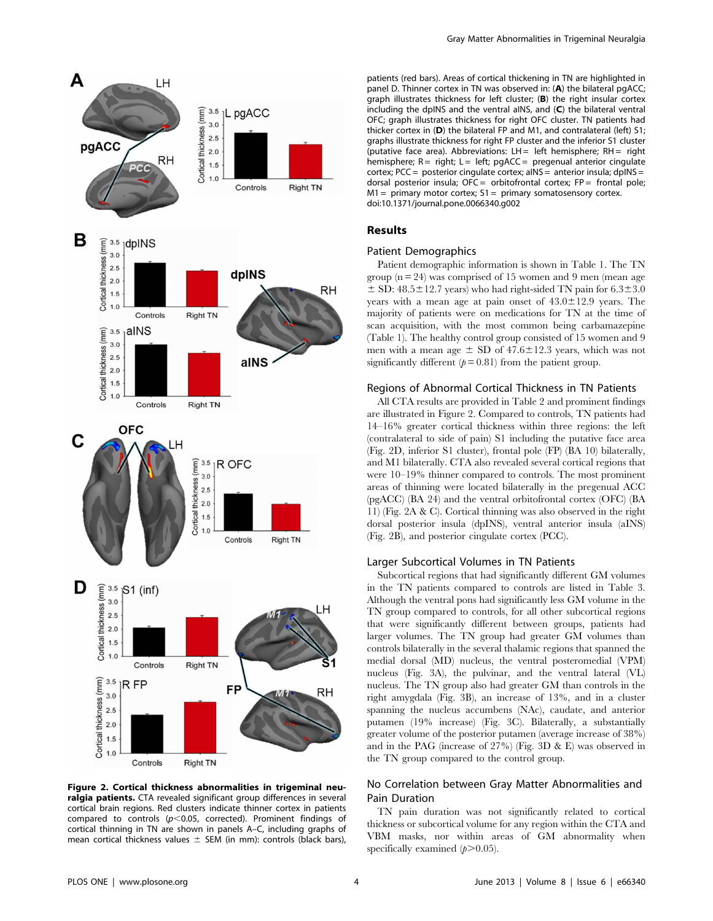

Figure 2. Cortical thickness abnormalities in trigeminal neuralgia patients. CTA revealed significant group differences in several cortical brain regions. Red clusters indicate thinner cortex in patients compared to controls ( $p$ <0.05, corrected). Prominent findings of cortical thinning in TN are shown in panels A–C, including graphs of mean cortical thickness values  $\pm$  SEM (in mm): controls (black bars),

patients (red bars). Areas of cortical thickening in TN are highlighted in panel D. Thinner cortex in TN was observed in: (A) the bilateral pgACC; graph illustrates thickness for left cluster; (B) the right insular cortex including the dpINS and the ventral aINS, and (C) the bilateral ventral OFC; graph illustrates thickness for right OFC cluster. TN patients had thicker cortex in (D) the bilateral FP and M1, and contralateral (left) S1; graphs illustrate thickness for right FP cluster and the inferior S1 cluster (putative face area). Abbreviations:  $LH =$  left hemisphere:  $RH =$  right hemisphere;  $R =$  right;  $L =$  left; pgACC = pregenual anterior cingulate cortex; PCC = posterior cinqulate cortex;  $a$ INS = anterior insula;  $d$ pINS = dorsal posterior insula;  $OFC =$  orbitofrontal cortex;  $FP =$  frontal pole;  $M1 =$  primary motor cortex;  $S1 =$  primary somatosensory cortex. doi:10.1371/journal.pone.0066340.g002

## Results

## Patient Demographics

Patient demographic information is shown in Table 1. The TN group  $(n = 24)$  was comprised of 15 women and 9 men (mean age  $\pm$  SD: 48.5 $\pm$ 12.7 years) who had right-sided TN pain for 6.3 $\pm$ 3.0 years with a mean age at pain onset of  $43.0 \pm 12.9$  years. The majority of patients were on medications for TN at the time of scan acquisition, with the most common being carbamazepine (Table 1). The healthy control group consisted of 15 women and 9 men with a mean age  $\pm$  SD of 47.6 $\pm$ 12.3 years, which was not significantly different  $(p= 0.81)$  from the patient group.

## Regions of Abnormal Cortical Thickness in TN Patients

All CTA results are provided in Table 2 and prominent findings are illustrated in Figure 2. Compared to controls, TN patients had 14–16% greater cortical thickness within three regions: the left (contralateral to side of pain) S1 including the putative face area (Fig. 2D, inferior S1 cluster), frontal pole (FP) (BA 10) bilaterally, and M1 bilaterally. CTA also revealed several cortical regions that were 10–19% thinner compared to controls. The most prominent areas of thinning were located bilaterally in the pregenual ACC (pgACC) (BA 24) and the ventral orbitofrontal cortex (OFC) (BA 11) (Fig. 2A & C). Cortical thinning was also observed in the right dorsal posterior insula (dpINS), ventral anterior insula (aINS) (Fig. 2B), and posterior cingulate cortex (PCC).

#### Larger Subcortical Volumes in TN Patients

Subcortical regions that had significantly different GM volumes in the TN patients compared to controls are listed in Table 3. Although the ventral pons had significantly less GM volume in the TN group compared to controls, for all other subcortical regions that were significantly different between groups, patients had larger volumes. The TN group had greater GM volumes than controls bilaterally in the several thalamic regions that spanned the medial dorsal (MD) nucleus, the ventral posteromedial (VPM) nucleus (Fig. 3A), the pulvinar, and the ventral lateral (VL) nucleus. The TN group also had greater GM than controls in the right amygdala (Fig. 3B), an increase of 13%, and in a cluster spanning the nucleus accumbens (NAc), caudate, and anterior putamen (19% increase) (Fig. 3C). Bilaterally, a substantially greater volume of the posterior putamen (average increase of 38%) and in the PAG (increase of 27%) (Fig. 3D & E) was observed in the TN group compared to the control group.

## No Correlation between Gray Matter Abnormalities and Pain Duration

TN pain duration was not significantly related to cortical thickness or subcortical volume for any region within the CTA and VBM masks, nor within areas of GM abnormality when specifically examined  $(p>0.05)$ .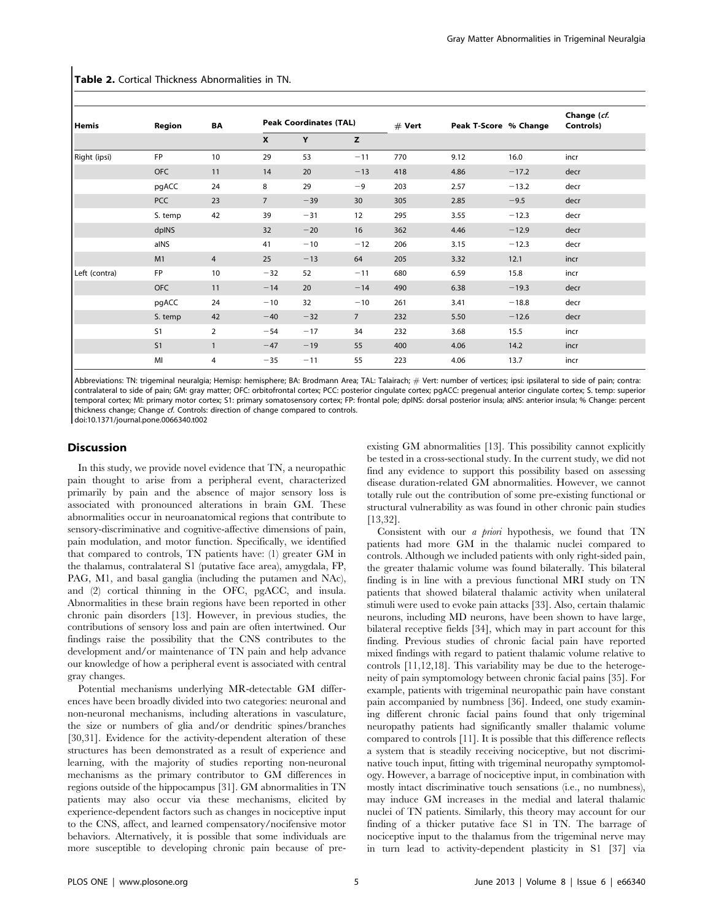| Hemis         | Region         | BA             | <b>Peak Coordinates (TAL)</b> |       |                | $#$ Vert | Peak T-Score % Change |         | Change (cf.<br>Controls) |
|---------------|----------------|----------------|-------------------------------|-------|----------------|----------|-----------------------|---------|--------------------------|
|               |                |                | X                             | Y     | z              |          |                       |         |                          |
| Right (ipsi)  | <b>FP</b>      | 10             | 29                            | 53    | $-11$          | 770      | 9.12                  | 16.0    | incr                     |
|               | <b>OFC</b>     | 11             | 14                            | 20    | $-13$          | 418      | 4.86                  | $-17.2$ | decr                     |
|               | pgACC          | 24             | 8                             | 29    | $-9$           | 203      | 2.57                  | $-13.2$ | decr                     |
|               | PCC            | 23             | $\overline{7}$                | $-39$ | 30             | 305      | 2.85                  | $-9.5$  | decr                     |
|               | S. temp        | 42             | 39                            | $-31$ | 12             | 295      | 3.55                  | $-12.3$ | decr                     |
|               | dpINS          |                | 32                            | $-20$ | 16             | 362      | 4.46                  | $-12.9$ | decr                     |
|               | aINS           |                | 41                            | $-10$ | $-12$          | 206      | 3.15                  | $-12.3$ | decr                     |
|               | M1             | $\overline{4}$ | 25                            | $-13$ | 64             | 205      | 3.32                  | 12.1    | incr                     |
| Left (contra) | <b>FP</b>      | 10             | $-32$                         | 52    | $-11$          | 680      | 6.59                  | 15.8    | incr                     |
|               | <b>OFC</b>     | 11             | $-14$                         | 20    | $-14$          | 490      | 6.38                  | $-19.3$ | decr                     |
|               | pgACC          | 24             | $-10$                         | 32    | $-10$          | 261      | 3.41                  | $-18.8$ | decr                     |
|               | S. temp        | 42             | $-40$                         | $-32$ | $\overline{7}$ | 232      | 5.50                  | $-12.6$ | decr                     |
|               | S <sub>1</sub> | $\overline{2}$ | $-54$                         | $-17$ | 34             | 232      | 3.68                  | 15.5    | incr                     |
|               | S <sub>1</sub> | $\mathbf{1}$   | $-47$                         | $-19$ | 55             | 400      | 4.06                  | 14.2    | incr                     |
|               | MI             | 4              | $-35$                         | $-11$ | 55             | 223      | 4.06                  | 13.7    | incr                     |

Table 2. Cortical Thickness Abnormalities in TN.

Abbreviations: TN: trigeminal neuralgia; Hemisp: hemisphere; BA: Brodmann Area; TAL: Talairach; # Vert: number of vertices; ipsi: ipsilateral to side of pain; contra: contralateral to side of pain; GM: gray matter; OFC: orbitofrontal cortex; PCC: posterior cingulate cortex; pgACC: pregenual anterior cingulate cortex; S. temp: superior temporal cortex; MI: primary motor cortex; S1: primary somatosensory cortex; FP: frontal pole; dpINS: dorsal posterior insula; aINS: anterior insula; % Change: percent thickness change; Change cf. Controls: direction of change compared to controls. doi:10.1371/journal.pone.0066340.t002

## **Discussion**

In this study, we provide novel evidence that TN, a neuropathic pain thought to arise from a peripheral event, characterized primarily by pain and the absence of major sensory loss is associated with pronounced alterations in brain GM. These abnormalities occur in neuroanatomical regions that contribute to sensory-discriminative and cognitive-affective dimensions of pain, pain modulation, and motor function. Specifically, we identified that compared to controls, TN patients have: (1) greater GM in the thalamus, contralateral S1 (putative face area), amygdala, FP, PAG, M1, and basal ganglia (including the putamen and NAc), and (2) cortical thinning in the OFC, pgACC, and insula. Abnormalities in these brain regions have been reported in other chronic pain disorders [13]. However, in previous studies, the contributions of sensory loss and pain are often intertwined. Our findings raise the possibility that the CNS contributes to the development and/or maintenance of TN pain and help advance our knowledge of how a peripheral event is associated with central gray changes.

Potential mechanisms underlying MR-detectable GM differences have been broadly divided into two categories: neuronal and non-neuronal mechanisms, including alterations in vasculature, the size or numbers of glia and/or dendritic spines/branches [30,31]. Evidence for the activity-dependent alteration of these structures has been demonstrated as a result of experience and learning, with the majority of studies reporting non-neuronal mechanisms as the primary contributor to GM differences in regions outside of the hippocampus [31]. GM abnormalities in TN patients may also occur via these mechanisms, elicited by experience-dependent factors such as changes in nociceptive input to the CNS, affect, and learned compensatory/nocifensive motor behaviors. Alternatively, it is possible that some individuals are more susceptible to developing chronic pain because of preexisting GM abnormalities [13]. This possibility cannot explicitly be tested in a cross-sectional study. In the current study, we did not find any evidence to support this possibility based on assessing disease duration-related GM abnormalities. However, we cannot totally rule out the contribution of some pre-existing functional or structural vulnerability as was found in other chronic pain studies [13,32].

Consistent with our a priori hypothesis, we found that TN patients had more GM in the thalamic nuclei compared to controls. Although we included patients with only right-sided pain, the greater thalamic volume was found bilaterally. This bilateral finding is in line with a previous functional MRI study on TN patients that showed bilateral thalamic activity when unilateral stimuli were used to evoke pain attacks [33]. Also, certain thalamic neurons, including MD neurons, have been shown to have large, bilateral receptive fields [34], which may in part account for this finding. Previous studies of chronic facial pain have reported mixed findings with regard to patient thalamic volume relative to controls [11,12,18]. This variability may be due to the heterogeneity of pain symptomology between chronic facial pains [35]. For example, patients with trigeminal neuropathic pain have constant pain accompanied by numbness [36]. Indeed, one study examining different chronic facial pains found that only trigeminal neuropathy patients had significantly smaller thalamic volume compared to controls [11]. It is possible that this difference reflects a system that is steadily receiving nociceptive, but not discriminative touch input, fitting with trigeminal neuropathy symptomology. However, a barrage of nociceptive input, in combination with mostly intact discriminative touch sensations (i.e., no numbness), may induce GM increases in the medial and lateral thalamic nuclei of TN patients. Similarly, this theory may account for our finding of a thicker putative face S1 in TN. The barrage of nociceptive input to the thalamus from the trigeminal nerve may in turn lead to activity-dependent plasticity in S1 [37] via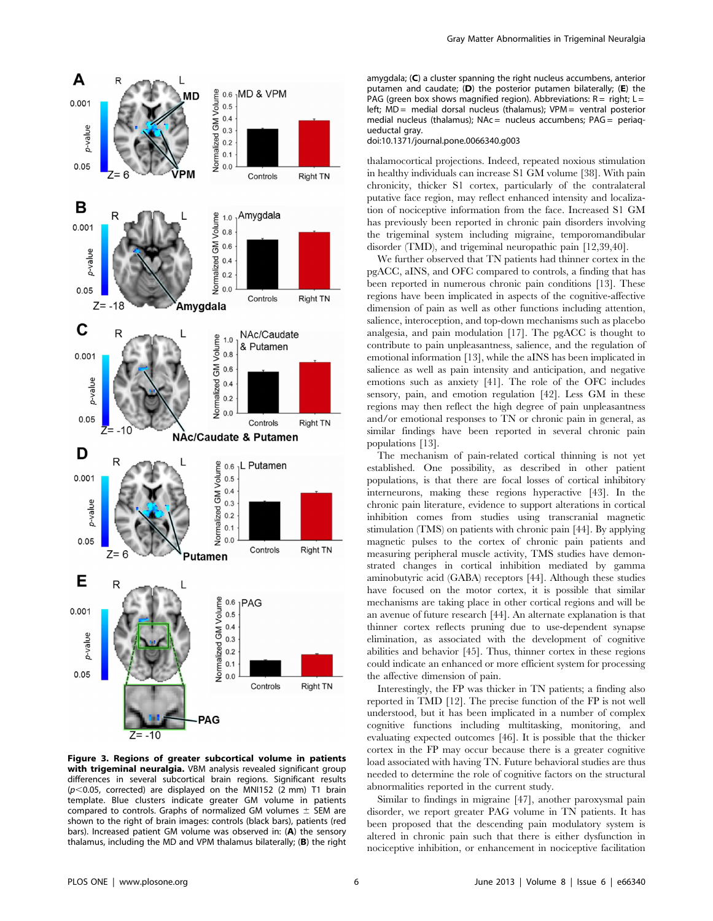

Figure 3. Regions of greater subcortical volume in patients with trigeminal neuralgia. VBM analysis revealed significant group differences in several subcortical brain regions. Significant results  $(p<0.05$ , corrected) are displayed on the MNI152 (2 mm) T1 brain template. Blue clusters indicate greater GM volume in patients compared to controls. Graphs of normalized GM volumes  $\pm$  SEM are shown to the right of brain images: controls (black bars), patients (red bars). Increased patient GM volume was observed in: (A) the sensory thalamus, including the MD and VPM thalamus bilaterally; (B) the right

amygdala; (C) a cluster spanning the right nucleus accumbens, anterior putamen and caudate; (D) the posterior putamen bilaterally; (E) the PAG (green box shows magnified region). Abbreviations:  $R =$  right;  $L =$ left; MD = medial dorsal nucleus (thalamus); VPM = ventral posterior medial nucleus (thalamus); NAc = nucleus accumbens; PAG = periaqueductal gray.

#### doi:10.1371/journal.pone.0066340.g003

thalamocortical projections. Indeed, repeated noxious stimulation in healthy individuals can increase S1 GM volume [38]. With pain chronicity, thicker S1 cortex, particularly of the contralateral putative face region, may reflect enhanced intensity and localization of nociceptive information from the face. Increased S1 GM has previously been reported in chronic pain disorders involving the trigeminal system including migraine, temporomandibular disorder (TMD), and trigeminal neuropathic pain [12,39,40].

We further observed that TN patients had thinner cortex in the pgACC, aINS, and OFC compared to controls, a finding that has been reported in numerous chronic pain conditions [13]. These regions have been implicated in aspects of the cognitive-affective dimension of pain as well as other functions including attention, salience, interoception, and top-down mechanisms such as placebo analgesia, and pain modulation [17]. The pgACC is thought to contribute to pain unpleasantness, salience, and the regulation of emotional information [13], while the aINS has been implicated in salience as well as pain intensity and anticipation, and negative emotions such as anxiety [41]. The role of the OFC includes sensory, pain, and emotion regulation [42]. Less GM in these regions may then reflect the high degree of pain unpleasantness and/or emotional responses to TN or chronic pain in general, as similar findings have been reported in several chronic pain populations [13].

The mechanism of pain-related cortical thinning is not yet established. One possibility, as described in other patient populations, is that there are focal losses of cortical inhibitory interneurons, making these regions hyperactive [43]. In the chronic pain literature, evidence to support alterations in cortical inhibition comes from studies using transcranial magnetic stimulation (TMS) on patients with chronic pain [44]. By applying magnetic pulses to the cortex of chronic pain patients and measuring peripheral muscle activity, TMS studies have demonstrated changes in cortical inhibition mediated by gamma aminobutyric acid (GABA) receptors [44]. Although these studies have focused on the motor cortex, it is possible that similar mechanisms are taking place in other cortical regions and will be an avenue of future research [44]. An alternate explanation is that thinner cortex reflects pruning due to use-dependent synapse elimination, as associated with the development of cognitive abilities and behavior [45]. Thus, thinner cortex in these regions could indicate an enhanced or more efficient system for processing the affective dimension of pain.

Interestingly, the FP was thicker in TN patients; a finding also reported in TMD [12]. The precise function of the FP is not well understood, but it has been implicated in a number of complex cognitive functions including multitasking, monitoring, and evaluating expected outcomes [46]. It is possible that the thicker cortex in the FP may occur because there is a greater cognitive load associated with having TN. Future behavioral studies are thus needed to determine the role of cognitive factors on the structural abnormalities reported in the current study.

Similar to findings in migraine [47], another paroxysmal pain disorder, we report greater PAG volume in TN patients. It has been proposed that the descending pain modulatory system is altered in chronic pain such that there is either dysfunction in nociceptive inhibition, or enhancement in nociceptive facilitation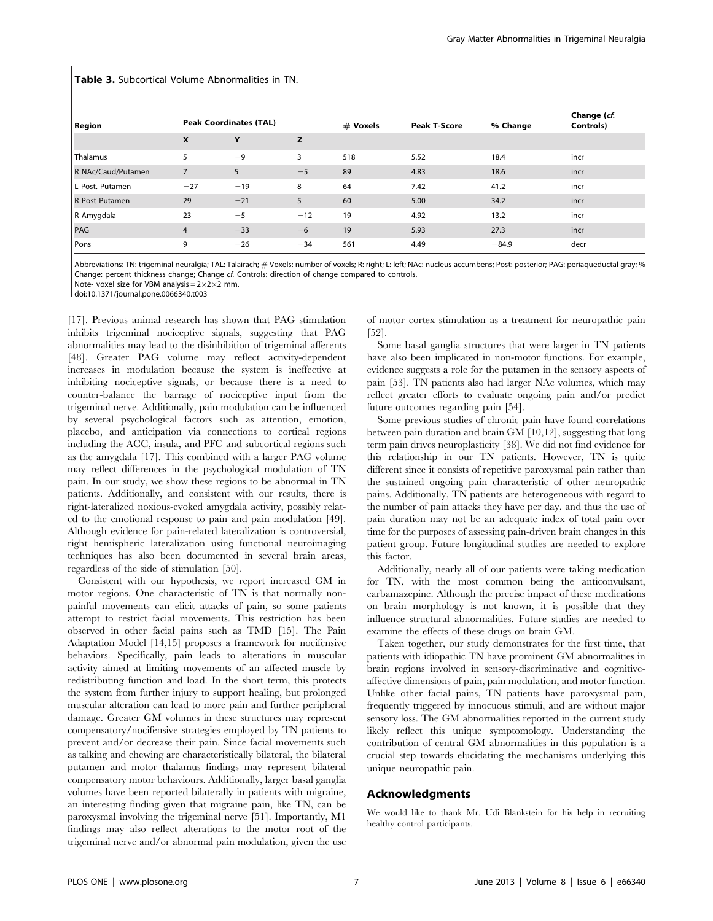| <b>Region</b>      | <b>Peak Coordinates (TAL)</b> |       |       | $#$ Voxels | <b>Peak T-Score</b> | % Change | Change (cf.<br>Controls) |
|--------------------|-------------------------------|-------|-------|------------|---------------------|----------|--------------------------|
|                    | X                             | Υ     | z     |            |                     |          |                          |
| Thalamus           | 5                             | $-9$  | 3     | 518        | 5.52                | 18.4     | incr                     |
| R NAc/Caud/Putamen | $\overline{7}$                | 5     | $-5$  | 89         | 4.83                | 18.6     | incr                     |
| L Post. Putamen    | $-27$                         | $-19$ | 8     | 64         | 7.42                | 41.2     | incr                     |
| R Post Putamen     | 29                            | $-21$ | 5     | 60         | 5.00                | 34.2     | incr                     |
| R Amygdala         | 23                            | $-5$  | $-12$ | 19         | 4.92                | 13.2     | incr                     |
| PAG                | $\overline{4}$                | $-33$ | $-6$  | 19         | 5.93                | 27.3     | incr                     |
| Pons               | 9                             | $-26$ | $-34$ | 561        | 4.49                | $-84.9$  | decr                     |

Table 3. Subcortical Volume Abnormalities in TN.

Abbreviations: TN: trigeminal neuralgia; TAL: Talairach; # Voxels: number of voxels; R: right; L: left; NAc: nucleus accumbens; Post: posterior; PAG: periaqueductal gray; % Change: percent thickness change; Change cf. Controls: direction of change compared to controls.

Note- voxel size for VBM analysis =  $2 \times 2 \times 2$  mm.

doi:10.1371/journal.pone.0066340.t003

[17]. Previous animal research has shown that PAG stimulation inhibits trigeminal nociceptive signals, suggesting that PAG abnormalities may lead to the disinhibition of trigeminal afferents [48]. Greater PAG volume may reflect activity-dependent increases in modulation because the system is ineffective at inhibiting nociceptive signals, or because there is a need to counter-balance the barrage of nociceptive input from the trigeminal nerve. Additionally, pain modulation can be influenced by several psychological factors such as attention, emotion, placebo, and anticipation via connections to cortical regions including the ACC, insula, and PFC and subcortical regions such as the amygdala [17]. This combined with a larger PAG volume may reflect differences in the psychological modulation of TN pain. In our study, we show these regions to be abnormal in TN patients. Additionally, and consistent with our results, there is right-lateralized noxious-evoked amygdala activity, possibly related to the emotional response to pain and pain modulation [49]. Although evidence for pain-related lateralization is controversial, right hemispheric lateralization using functional neuroimaging techniques has also been documented in several brain areas, regardless of the side of stimulation [50].

Consistent with our hypothesis, we report increased GM in motor regions. One characteristic of TN is that normally nonpainful movements can elicit attacks of pain, so some patients attempt to restrict facial movements. This restriction has been observed in other facial pains such as TMD [15]. The Pain Adaptation Model [14,15] proposes a framework for nocifensive behaviors. Specifically, pain leads to alterations in muscular activity aimed at limiting movements of an affected muscle by redistributing function and load. In the short term, this protects the system from further injury to support healing, but prolonged muscular alteration can lead to more pain and further peripheral damage. Greater GM volumes in these structures may represent compensatory/nocifensive strategies employed by TN patients to prevent and/or decrease their pain. Since facial movements such as talking and chewing are characteristically bilateral, the bilateral putamen and motor thalamus findings may represent bilateral compensatory motor behaviours. Additionally, larger basal ganglia volumes have been reported bilaterally in patients with migraine, an interesting finding given that migraine pain, like TN, can be paroxysmal involving the trigeminal nerve [51]. Importantly, M1 findings may also reflect alterations to the motor root of the trigeminal nerve and/or abnormal pain modulation, given the use of motor cortex stimulation as a treatment for neuropathic pain [52].

Some basal ganglia structures that were larger in TN patients have also been implicated in non-motor functions. For example, evidence suggests a role for the putamen in the sensory aspects of pain [53]. TN patients also had larger NAc volumes, which may reflect greater efforts to evaluate ongoing pain and/or predict future outcomes regarding pain [54].

Some previous studies of chronic pain have found correlations between pain duration and brain GM [10,12], suggesting that long term pain drives neuroplasticity [38]. We did not find evidence for this relationship in our TN patients. However, TN is quite different since it consists of repetitive paroxysmal pain rather than the sustained ongoing pain characteristic of other neuropathic pains. Additionally, TN patients are heterogeneous with regard to the number of pain attacks they have per day, and thus the use of pain duration may not be an adequate index of total pain over time for the purposes of assessing pain-driven brain changes in this patient group. Future longitudinal studies are needed to explore this factor.

Additionally, nearly all of our patients were taking medication for TN, with the most common being the anticonvulsant, carbamazepine. Although the precise impact of these medications on brain morphology is not known, it is possible that they influence structural abnormalities. Future studies are needed to examine the effects of these drugs on brain GM.

Taken together, our study demonstrates for the first time, that patients with idiopathic TN have prominent GM abnormalities in brain regions involved in sensory-discriminative and cognitiveaffective dimensions of pain, pain modulation, and motor function. Unlike other facial pains, TN patients have paroxysmal pain, frequently triggered by innocuous stimuli, and are without major sensory loss. The GM abnormalities reported in the current study likely reflect this unique symptomology. Understanding the contribution of central GM abnormalities in this population is a crucial step towards elucidating the mechanisms underlying this unique neuropathic pain.

## Acknowledgments

We would like to thank Mr. Udi Blankstein for his help in recruiting healthy control participants.